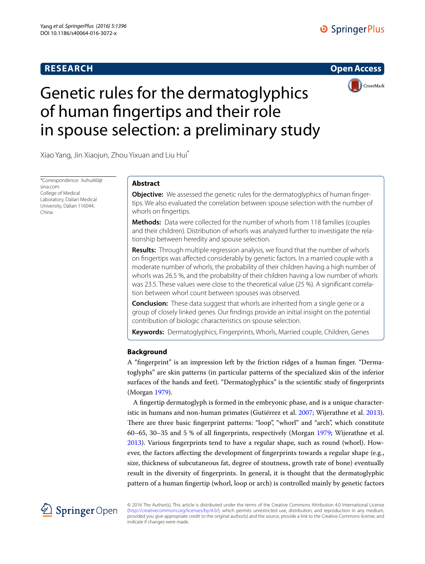# **RESEARCH**





# Genetic rules for the dermatoglyphics of human fingertips and their role in spouse selection: a preliminary study

Xiao Yang, Jin Xiaojun, Zhou Yixuan and Liu Hui\*

\*Correspondence: liuhui60@ sina.com College of Medical Laboratory, Dalian Medical University, Dalian 116044, China

# **Abstract**

**Objective:** We assessed the genetic rules for the dermatoglyphics of human fingertips. We also evaluated the correlation between spouse selection with the number of whorls on fingertips.

**Methods:** Data were collected for the number of whorls from 118 families (couples and their children). Distribution of whorls was analyzed further to investigate the relationship between heredity and spouse selection.

**Results:** Through multiple regression analysis, we found that the number of whorls on fingertips was affected considerably by genetic factors. In a married couple with a moderate number of whorls, the probability of their children having a high number of whorls was 26.5 %, and the probability of their children having a low number of whorls was 23.5. These values were close to the theoretical value (25 %). A significant correlation between whorl count between spouses was observed.

**Conclusion:** These data suggest that whorls are inherited from a single gene or a group of closely linked genes. Our findings provide an initial insight on the potential contribution of biologic characteristics on spouse selection.

**Keywords:** Dermatoglyphics, Fingerprints, Whorls, Married couple, Children, Genes

# **Background**

A "fingerprint" is an impression left by the friction ridges of a human finger. "Dermatoglyphs" are skin patterns (in particular patterns of the specialized skin of the inferior surfaces of the hands and feet). "Dermatoglyphics" is the scientific study of fingerprints (Morgan [1979](#page-5-0)).

A fingertip dermatoglyph is formed in the embryonic phase, and is a unique characteristic in humans and non-human primates (Gutiérrez et al. [2007](#page-5-1); Wijerathne et al. [2013](#page-5-2)). There are three basic fingerprint patterns: "loop", "whorl" and "arch", which constitute 60–65, 30–35 and 5 % of all fingerprints, respectively (Morgan [1979;](#page-5-0) Wijerathne et al. [2013](#page-5-2)). Various fingerprints tend to have a regular shape, such as round (whorl). However, the factors affecting the development of fingerprints towards a regular shape (e.g., size, thickness of subcutaneous fat, degree of stoutness, growth rate of bone) eventually result in the diversity of fingerprints. In general, it is thought that the dermatoglyphic pattern of a human fingertip (whorl, loop or arch) is controlled mainly by genetic factors



© 2016 The Author(s). This article is distributed under the terms of the Creative Commons Attribution 4.0 International License [\(http://creativecommons.org/licenses/by/4.0/](http://creativecommons.org/licenses/by/4.0/)), which permits unrestricted use, distribution, and reproduction in any medium, provided you give appropriate credit to the original author(s) and the source, provide a link to the Creative Commons license, and indicate if changes were made.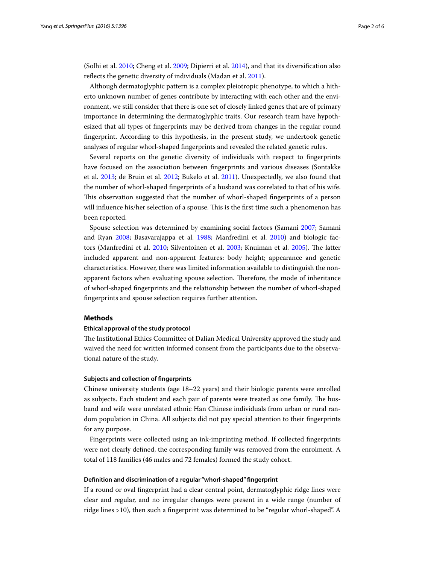(Solhi et al. [2010](#page-5-3); Cheng et al. [2009](#page-5-4); Dipierri et al. [2014](#page-5-5)), and that its diversification also reflects the genetic diversity of individuals (Madan et al. [2011](#page-5-6)).

Although dermatoglyphic pattern is a complex pleiotropic phenotype, to which a hitherto unknown number of genes contribute by interacting with each other and the environment, we still consider that there is one set of closely linked genes that are of primary importance in determining the dermatoglyphic traits. Our research team have hypothesized that all types of fingerprints may be derived from changes in the regular round fingerprint. According to this hypothesis, in the present study, we undertook genetic analyses of regular whorl-shaped fingerprints and revealed the related genetic rules.

Several reports on the genetic diversity of individuals with respect to fingerprints have focused on the association between fingerprints and various diseases (Sontakke et al. [2013;](#page-5-7) de Bruin et al. [2012](#page-5-8); Bukelo et al. [2011\)](#page-5-9). Unexpectedly, we also found that the number of whorl-shaped fingerprints of a husband was correlated to that of his wife. This observation suggested that the number of whorl-shaped fingerprints of a person will influence his/her selection of a spouse. This is the first time such a phenomenon has been reported.

Spouse selection was determined by examining social factors (Samani [2007;](#page-5-10) Samani and Ryan [2008;](#page-5-11) Basavarajappa et al. [1988;](#page-5-12) Manfredini et al. [2010](#page-5-13)) and biologic factors (Manfredini et al. [2010;](#page-5-13) Silventoinen et al. [2003](#page-5-14); Knuiman et al. [2005](#page-5-15)). The latter included apparent and non-apparent features: body height; appearance and genetic characteristics. However, there was limited information available to distinguish the nonapparent factors when evaluating spouse selection. Therefore, the mode of inheritance of whorl-shaped fingerprints and the relationship between the number of whorl-shaped fingerprints and spouse selection requires further attention.

## **Methods**

#### **Ethical approval of the study protocol**

The Institutional Ethics Committee of Dalian Medical University approved the study and waived the need for written informed consent from the participants due to the observational nature of the study.

#### **Subjects and collection of fingerprints**

Chinese university students (age 18–22 years) and their biologic parents were enrolled as subjects. Each student and each pair of parents were treated as one family. The husband and wife were unrelated ethnic Han Chinese individuals from urban or rural random population in China. All subjects did not pay special attention to their fingerprints for any purpose.

Fingerprints were collected using an ink-imprinting method. If collected fingerprints were not clearly defined, the corresponding family was removed from the enrolment. A total of 118 families (46 males and 72 females) formed the study cohort.

## **Definition and discrimination of a regular "whorl‑shaped" fingerprint**

If a round or oval fingerprint had a clear central point, dermatoglyphic ridge lines were clear and regular, and no irregular changes were present in a wide range (number of ridge lines >10), then such a fingerprint was determined to be "regular whorl-shaped". A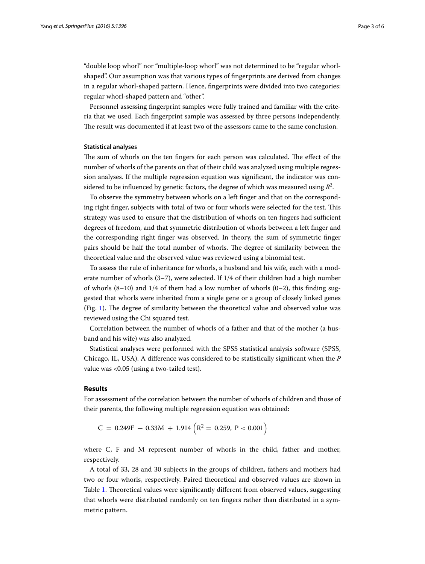"double loop whorl" nor "multiple-loop whorl" was not determined to be "regular whorlshaped". Our assumption was that various types of fingerprints are derived from changes in a regular whorl-shaped pattern. Hence, fingerprints were divided into two categories: regular whorl-shaped pattern and "other".

Personnel assessing fingerprint samples were fully trained and familiar with the criteria that we used. Each fingerprint sample was assessed by three persons independently. The result was documented if at least two of the assessors came to the same conclusion.

## **Statistical analyses**

The sum of whorls on the ten fingers for each person was calculated. The effect of the number of whorls of the parents on that of their child was analyzed using multiple regression analyses. If the multiple regression equation was significant, the indicator was considered to be influenced by genetic factors, the degree of which was measured using  $\mathcal{R}^2$ .

To observe the symmetry between whorls on a left finger and that on the corresponding right finger, subjects with total of two or four whorls were selected for the test. This strategy was used to ensure that the distribution of whorls on ten fingers had sufficient degrees of freedom, and that symmetric distribution of whorls between a left finger and the corresponding right finger was observed. In theory, the sum of symmetric finger pairs should be half the total number of whorls. The degree of similarity between the theoretical value and the observed value was reviewed using a binomial test.

To assess the rule of inheritance for whorls, a husband and his wife, each with a moderate number of whorls (3–7), were selected. If 1/4 of their children had a high number of whorls  $(8-10)$  and  $1/4$  of them had a low number of whorls  $(0-2)$ , this finding suggested that whorls were inherited from a single gene or a group of closely linked genes (Fig. [1\)](#page-3-0). The degree of similarity between the theoretical value and observed value was reviewed using the Chi squared test.

Correlation between the number of whorls of a father and that of the mother (a husband and his wife) was also analyzed.

Statistical analyses were performed with the SPSS statistical analysis software (SPSS, Chicago, IL, USA). A difference was considered to be statistically significant when the *P* value was <0.05 (using a two-tailed test).

## **Results**

For assessment of the correlation between the number of whorls of children and those of their parents, the following multiple regression equation was obtained:

 $C = 0.249F + 0.33M + 1.914(R^2 = 0.259, P < 0.001)$ 

where C, F and M represent number of whorls in the child, father and mother, respectively.

A total of 33, 28 and 30 subjects in the groups of children, fathers and mothers had two or four whorls, respectively. Paired theoretical and observed values are shown in Table [1.](#page-3-1) Theoretical values were significantly different from observed values, suggesting that whorls were distributed randomly on ten fingers rather than distributed in a symmetric pattern.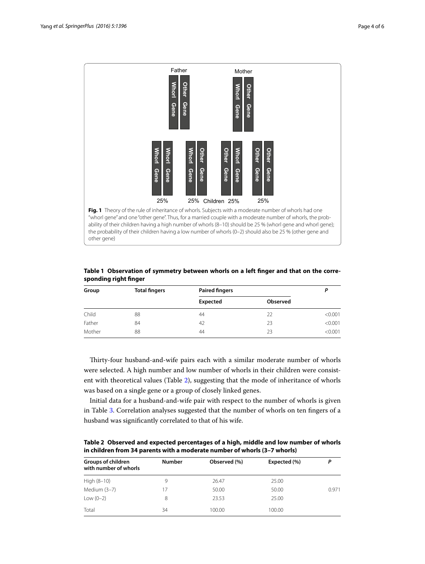

<span id="page-3-1"></span><span id="page-3-0"></span>**Table 1 Observation of symmetry between whorls on a left finger and that on the corresponding right finger**

| Group  | <b>Total fingers</b> | <b>Paired fingers</b> |          |         |
|--------|----------------------|-----------------------|----------|---------|
|        |                      | Expected              | Observed |         |
| Child  | 88                   | 44                    | 22       | < 0.001 |
| Father | 84                   | 42                    | 23       | < 0.001 |
| Mother | 88                   | 44                    | 23       | < 0.001 |

Thirty-four husband-and-wife pairs each with a similar moderate number of whorls were selected. A high number and low number of whorls in their children were consistent with theoretical values (Table [2](#page-3-2)), suggesting that the mode of inheritance of whorls was based on a single gene or a group of closely linked genes.

Initial data for a husband-and-wife pair with respect to the number of whorls is given in Table [3](#page-4-0). Correlation analyses suggested that the number of whorls on ten fingers of a

<span id="page-3-2"></span>**Table 2 Observed and expected percentages of a high, middle and low number of whorls in children from 34 parents with a moderate number of whorls (3–7 whorls)**

| <b>Groups of children</b><br>with number of whorls | <b>Number</b> | Observed (%) | Expected (%) | P     |
|----------------------------------------------------|---------------|--------------|--------------|-------|
| High (8-10)                                        | 9             | 26.47        | 25.00        |       |
| Medium (3-7)                                       | 17            | 50.00        | 50.00        | 0.971 |
| Low $(0-2)$                                        | 8             | 23.53        | 25.00        |       |
| Total                                              | 34            | 100.00       | 100.00       |       |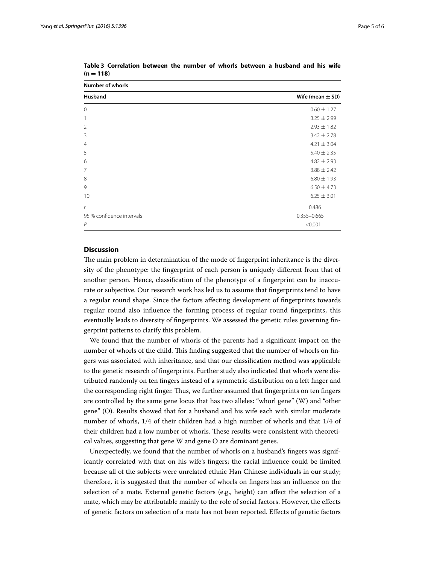**Number of whorls**

| Husband                   | Wife (mean $\pm$ SD) |  |  |  |
|---------------------------|----------------------|--|--|--|
| $\mathbf 0$               | $0.60 \pm 1.27$      |  |  |  |
| 1                         | $3.25 \pm 2.99$      |  |  |  |
| $\overline{2}$            | $2.93 \pm 1.82$      |  |  |  |
| 3                         | $3.42 \pm 2.78$      |  |  |  |
| $\overline{4}$            | $4.21 \pm 3.04$      |  |  |  |
| 5                         | $5.40 \pm 2.35$      |  |  |  |
| 6                         | $4.82 \pm 2.93$      |  |  |  |
| 7                         | $3.88 \pm 2.42$      |  |  |  |
| 8                         | $6.80 \pm 1.93$      |  |  |  |
| 9                         | $6.50 \pm 4.73$      |  |  |  |
| 10                        | $6.25 \pm 3.01$      |  |  |  |
| $\mathsf{r}$              | 0.486                |  |  |  |
| 95 % confidence intervals | $0.355 - 0.665$      |  |  |  |
| $\overline{P}$            | < 0.001              |  |  |  |
|                           |                      |  |  |  |

<span id="page-4-0"></span>**Table 3 Correlation between the number of whorls between a husband and his wife**   $(n = 118)$ 

## **Discussion**

The main problem in determination of the mode of fingerprint inheritance is the diversity of the phenotype: the fingerprint of each person is uniquely different from that of another person. Hence, classification of the phenotype of a fingerprint can be inaccurate or subjective. Our research work has led us to assume that fingerprints tend to have a regular round shape. Since the factors affecting development of fingerprints towards regular round also influence the forming process of regular round fingerprints, this eventually leads to diversity of fingerprints. We assessed the genetic rules governing fingerprint patterns to clarify this problem.

We found that the number of whorls of the parents had a significant impact on the number of whorls of the child. This finding suggested that the number of whorls on fingers was associated with inheritance, and that our classification method was applicable to the genetic research of fingerprints. Further study also indicated that whorls were distributed randomly on ten fingers instead of a symmetric distribution on a left finger and the corresponding right finger. Thus, we further assumed that fingerprints on ten fingers are controlled by the same gene locus that has two alleles: "whorl gene" (W) and "other gene" (O). Results showed that for a husband and his wife each with similar moderate number of whorls, 1/4 of their children had a high number of whorls and that 1/4 of their children had a low number of whorls. These results were consistent with theoretical values, suggesting that gene W and gene O are dominant genes.

Unexpectedly, we found that the number of whorls on a husband's fingers was significantly correlated with that on his wife's fingers; the racial influence could be limited because all of the subjects were unrelated ethnic Han Chinese individuals in our study; therefore, it is suggested that the number of whorls on fingers has an influence on the selection of a mate. External genetic factors (e.g., height) can affect the selection of a mate, which may be attributable mainly to the role of social factors. However, the effects of genetic factors on selection of a mate has not been reported. Effects of genetic factors